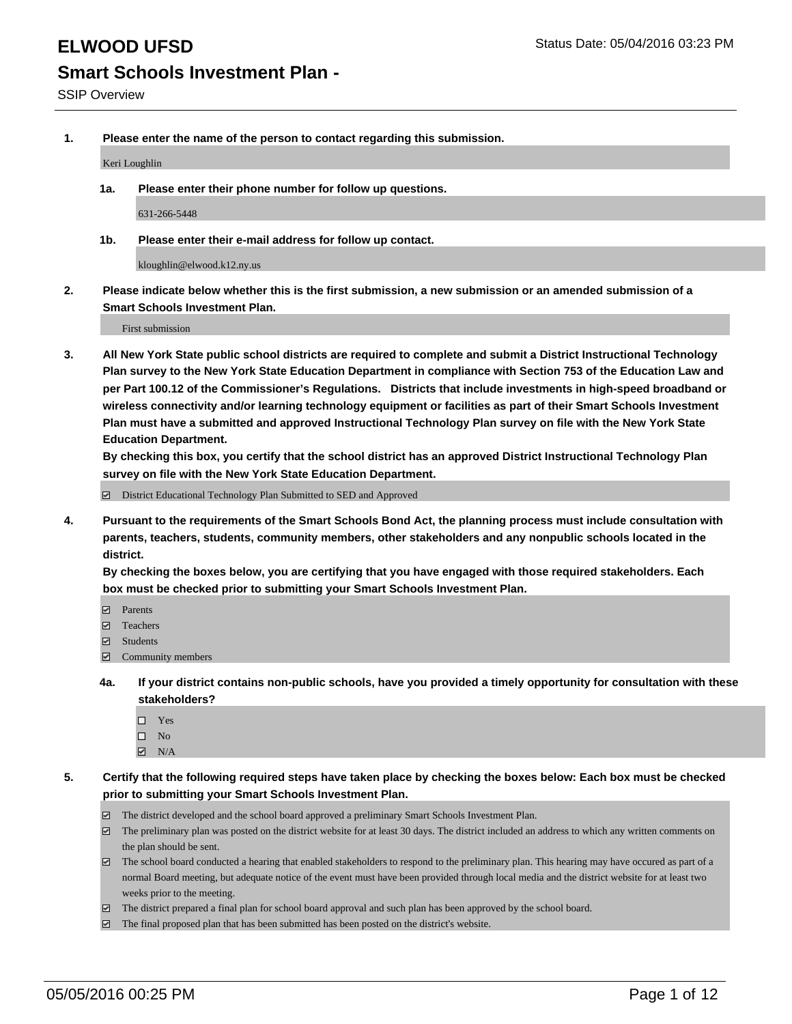**1. Please enter the name of the person to contact regarding this submission.**

Keri Loughlin

**1a. Please enter their phone number for follow up questions.**

631-266-5448

**1b. Please enter their e-mail address for follow up contact.**

kloughlin@elwood.k12.ny.us

**2. Please indicate below whether this is the first submission, a new submission or an amended submission of a Smart Schools Investment Plan.**

First submission

**3. All New York State public school districts are required to complete and submit a District Instructional Technology Plan survey to the New York State Education Department in compliance with Section 753 of the Education Law and per Part 100.12 of the Commissioner's Regulations. Districts that include investments in high-speed broadband or wireless connectivity and/or learning technology equipment or facilities as part of their Smart Schools Investment Plan must have a submitted and approved Instructional Technology Plan survey on file with the New York State Education Department.** 

**By checking this box, you certify that the school district has an approved District Instructional Technology Plan survey on file with the New York State Education Department.**

■ District Educational Technology Plan Submitted to SED and Approved

**4. Pursuant to the requirements of the Smart Schools Bond Act, the planning process must include consultation with parents, teachers, students, community members, other stakeholders and any nonpublic schools located in the district.** 

**By checking the boxes below, you are certifying that you have engaged with those required stakeholders. Each box must be checked prior to submitting your Smart Schools Investment Plan.**

- **Parents**
- □ Teachers
- Students
- $\boxdot$  Community members
- **4a. If your district contains non-public schools, have you provided a timely opportunity for consultation with these stakeholders?**
	- □ Yes
	- $\square$  No
	- $\boxtimes$  N/A
- **5. Certify that the following required steps have taken place by checking the boxes below: Each box must be checked prior to submitting your Smart Schools Investment Plan.**
	- The district developed and the school board approved a preliminary Smart Schools Investment Plan.
	- The preliminary plan was posted on the district website for at least 30 days. The district included an address to which any written comments on the plan should be sent.
	- $\Box$  The school board conducted a hearing that enabled stakeholders to respond to the preliminary plan. This hearing may have occured as part of a normal Board meeting, but adequate notice of the event must have been provided through local media and the district website for at least two weeks prior to the meeting.
	- The district prepared a final plan for school board approval and such plan has been approved by the school board.
	- The final proposed plan that has been submitted has been posted on the district's website.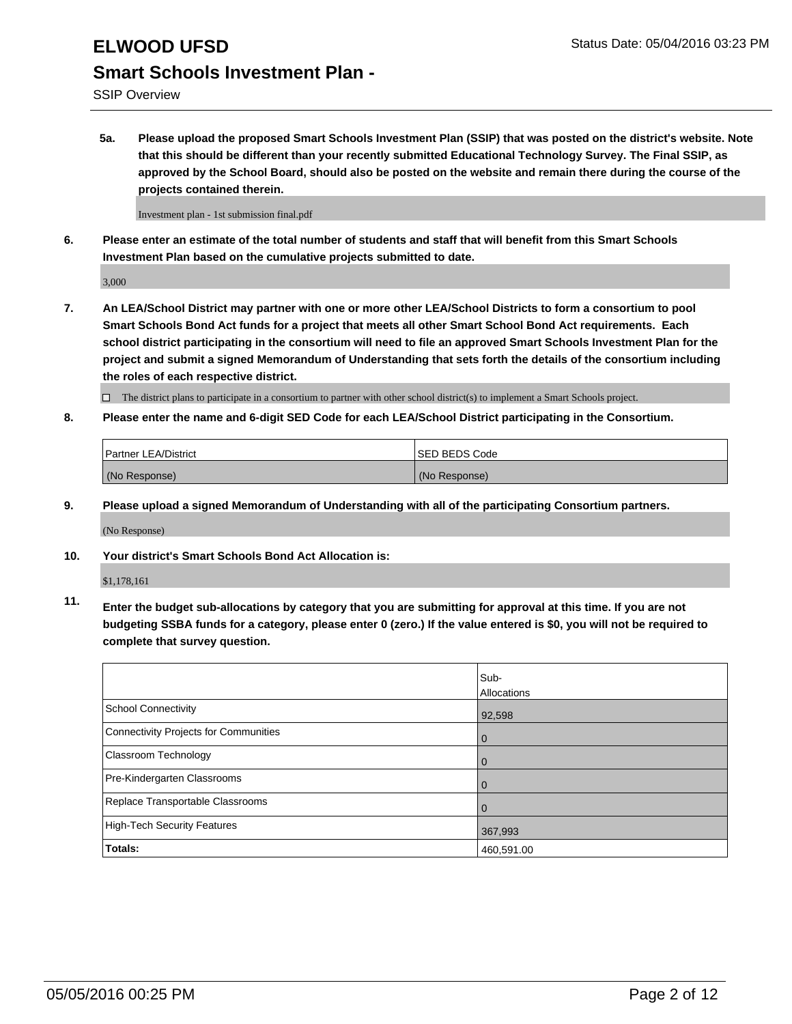SSIP Overview

**5a. Please upload the proposed Smart Schools Investment Plan (SSIP) that was posted on the district's website. Note that this should be different than your recently submitted Educational Technology Survey. The Final SSIP, as approved by the School Board, should also be posted on the website and remain there during the course of the projects contained therein.**

Investment plan - 1st submission final.pdf

**6. Please enter an estimate of the total number of students and staff that will benefit from this Smart Schools Investment Plan based on the cumulative projects submitted to date.**

3,000

**7. An LEA/School District may partner with one or more other LEA/School Districts to form a consortium to pool Smart Schools Bond Act funds for a project that meets all other Smart School Bond Act requirements. Each school district participating in the consortium will need to file an approved Smart Schools Investment Plan for the project and submit a signed Memorandum of Understanding that sets forth the details of the consortium including the roles of each respective district.**

 $\Box$  The district plans to participate in a consortium to partner with other school district(s) to implement a Smart Schools project.

**8. Please enter the name and 6-digit SED Code for each LEA/School District participating in the Consortium.**

| <b>Partner LEA/District</b> | <b>ISED BEDS Code</b> |
|-----------------------------|-----------------------|
| (No Response)               | (No Response)         |

**9. Please upload a signed Memorandum of Understanding with all of the participating Consortium partners.**

(No Response)

**10. Your district's Smart Schools Bond Act Allocation is:**

\$1,178,161

**11. Enter the budget sub-allocations by category that you are submitting for approval at this time. If you are not budgeting SSBA funds for a category, please enter 0 (zero.) If the value entered is \$0, you will not be required to complete that survey question.**

|                                       | Sub-<br>Allocations |
|---------------------------------------|---------------------|
| <b>School Connectivity</b>            | 92,598              |
| Connectivity Projects for Communities | $\Omega$            |
| <b>Classroom Technology</b>           | 0                   |
| Pre-Kindergarten Classrooms           | 0                   |
| Replace Transportable Classrooms      | 0                   |
| High-Tech Security Features           | 367,993             |
| <b>Totals:</b>                        | 460,591.00          |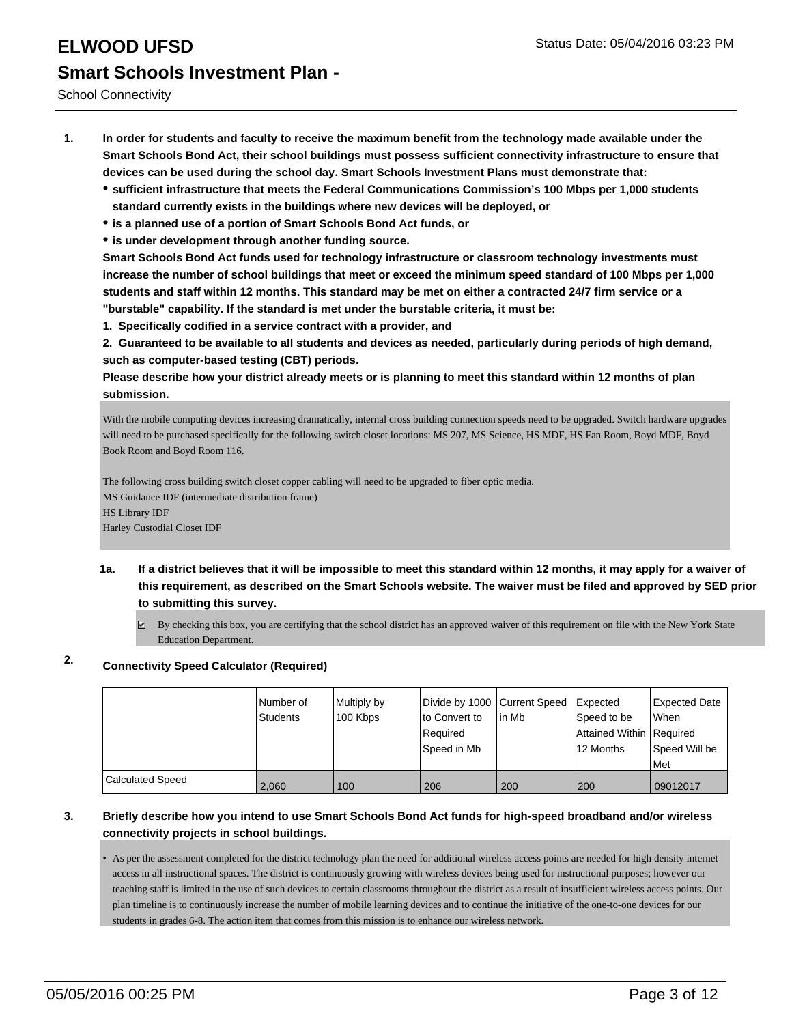School Connectivity

- **1. In order for students and faculty to receive the maximum benefit from the technology made available under the Smart Schools Bond Act, their school buildings must possess sufficient connectivity infrastructure to ensure that devices can be used during the school day. Smart Schools Investment Plans must demonstrate that:**
	- **sufficient infrastructure that meets the Federal Communications Commission's 100 Mbps per 1,000 students standard currently exists in the buildings where new devices will be deployed, or**
	- **is a planned use of a portion of Smart Schools Bond Act funds, or**
	- **is under development through another funding source.**

**Smart Schools Bond Act funds used for technology infrastructure or classroom technology investments must increase the number of school buildings that meet or exceed the minimum speed standard of 100 Mbps per 1,000 students and staff within 12 months. This standard may be met on either a contracted 24/7 firm service or a "burstable" capability. If the standard is met under the burstable criteria, it must be:**

**1. Specifically codified in a service contract with a provider, and**

**2. Guaranteed to be available to all students and devices as needed, particularly during periods of high demand, such as computer-based testing (CBT) periods.**

**Please describe how your district already meets or is planning to meet this standard within 12 months of plan submission.**

With the mobile computing devices increasing dramatically, internal cross building connection speeds need to be upgraded. Switch hardware upgrades will need to be purchased specifically for the following switch closet locations: MS 207, MS Science, HS MDF, HS Fan Room, Boyd MDF, Boyd Book Room and Boyd Room 116.

The following cross building switch closet copper cabling will need to be upgraded to fiber optic media. MS Guidance IDF (intermediate distribution frame) HS Library IDF Harley Custodial Closet IDF

- **1a. If a district believes that it will be impossible to meet this standard within 12 months, it may apply for a waiver of this requirement, as described on the Smart Schools website. The waiver must be filed and approved by SED prior to submitting this survey.**
	- $\overline{\phantom{a}}$ By checking this box, you are certifying that the school district has an approved waiver of this requirement on file with the New York State Education Department.

# **2. Connectivity Speed Calculator (Required)**

|                         | l Number of<br>Students | Multiply by<br>100 Kbps | Divide by 1000 Current Speed<br>to Convert to<br>Required<br> Speed in Mb | lin Mb | <b>Expected</b><br>Speed to be<br>Attained Within   Required<br>12 Months | Expected Date<br><b>When</b><br>Speed Will be<br>Met |
|-------------------------|-------------------------|-------------------------|---------------------------------------------------------------------------|--------|---------------------------------------------------------------------------|------------------------------------------------------|
| <b>Calculated Speed</b> | 2.060                   | 100                     | 206                                                                       | 200    | 200                                                                       | 09012017                                             |

### **3. Briefly describe how you intend to use Smart Schools Bond Act funds for high-speed broadband and/or wireless connectivity projects in school buildings.**

• As per the assessment completed for the district technology plan the need for additional wireless access points are needed for high density internet access in all instructional spaces. The district is continuously growing with wireless devices being used for instructional purposes; however our teaching staff is limited in the use of such devices to certain classrooms throughout the district as a result of insufficient wireless access points. Our plan timeline is to continuously increase the number of mobile learning devices and to continue the initiative of the one-to-one devices for our students in grades 6-8. The action item that comes from this mission is to enhance our wireless network.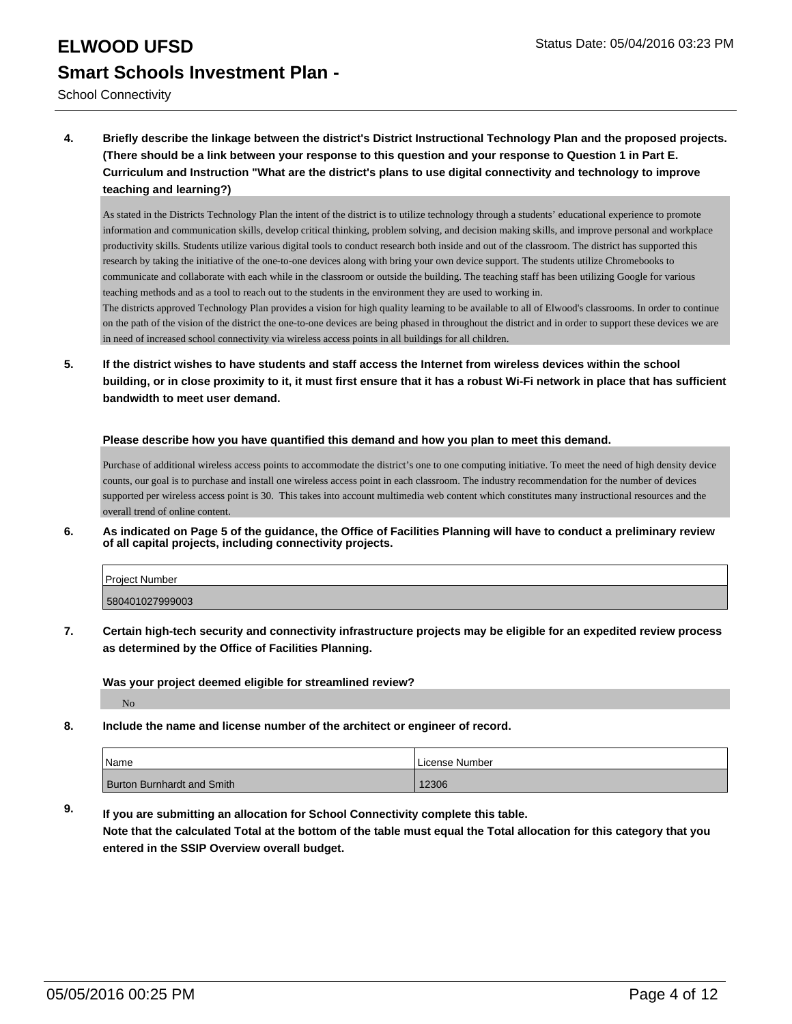School Connectivity

**4. Briefly describe the linkage between the district's District Instructional Technology Plan and the proposed projects. (There should be a link between your response to this question and your response to Question 1 in Part E. Curriculum and Instruction "What are the district's plans to use digital connectivity and technology to improve teaching and learning?)**

As stated in the Districts Technology Plan the intent of the district is to utilize technology through a students' educational experience to promote information and communication skills, develop critical thinking, problem solving, and decision making skills, and improve personal and workplace productivity skills. Students utilize various digital tools to conduct research both inside and out of the classroom. The district has supported this research by taking the initiative of the one-to-one devices along with bring your own device support. The students utilize Chromebooks to communicate and collaborate with each while in the classroom or outside the building. The teaching staff has been utilizing Google for various teaching methods and as a tool to reach out to the students in the environment they are used to working in.

The districts approved Technology Plan provides a vision for high quality learning to be available to all of Elwood's classrooms. In order to continue on the path of the vision of the district the one-to-one devices are being phased in throughout the district and in order to support these devices we are in need of increased school connectivity via wireless access points in all buildings for all children.

**5. If the district wishes to have students and staff access the Internet from wireless devices within the school building, or in close proximity to it, it must first ensure that it has a robust Wi-Fi network in place that has sufficient bandwidth to meet user demand.**

#### **Please describe how you have quantified this demand and how you plan to meet this demand.**

Purchase of additional wireless access points to accommodate the district's one to one computing initiative. To meet the need of high density device counts, our goal is to purchase and install one wireless access point in each classroom. The industry recommendation for the number of devices supported per wireless access point is 30. This takes into account multimedia web content which constitutes many instructional resources and the overall trend of online content.

**6. As indicated on Page 5 of the guidance, the Office of Facilities Planning will have to conduct a preliminary review of all capital projects, including connectivity projects.**

| Project Number  |  |
|-----------------|--|
| 580401027999003 |  |
|                 |  |

**7. Certain high-tech security and connectivity infrastructure projects may be eligible for an expedited review process as determined by the Office of Facilities Planning.**

**Was your project deemed eligible for streamlined review?**

No

**8. Include the name and license number of the architect or engineer of record.**

| Name                       | License Number |
|----------------------------|----------------|
| Burton Burnhardt and Smith | 12306          |

**9. If you are submitting an allocation for School Connectivity complete this table. Note that the calculated Total at the bottom of the table must equal the Total allocation for this category that you entered in the SSIP Overview overall budget.**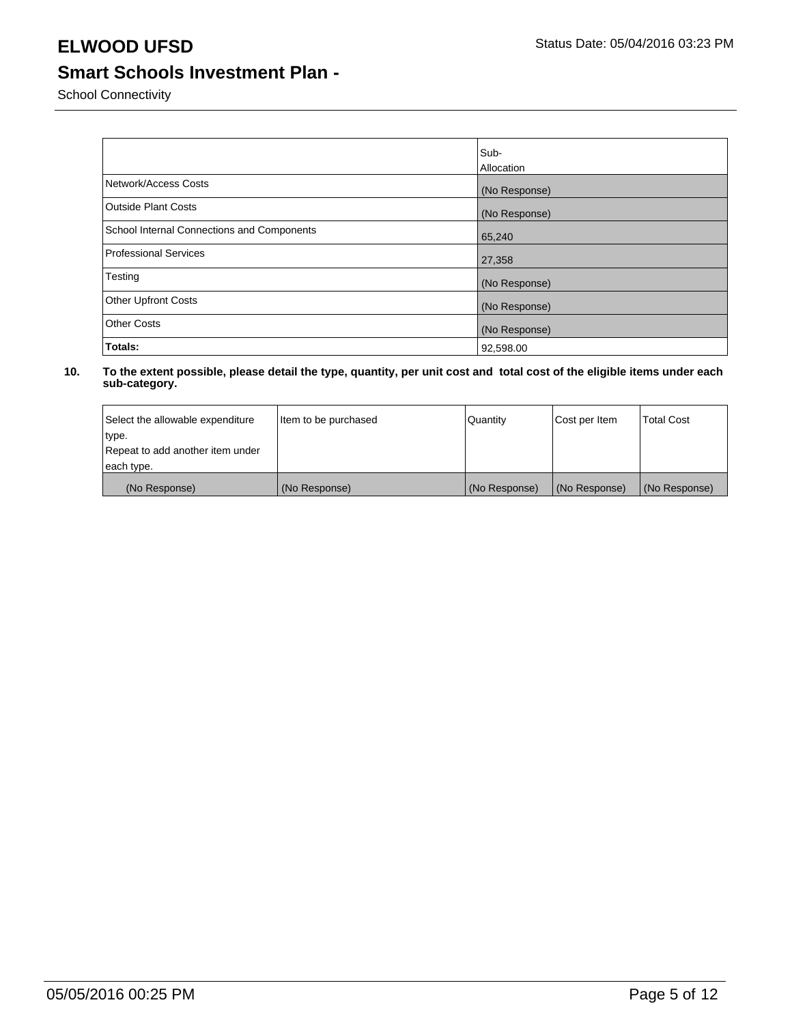School Connectivity

|                                            | Sub-          |
|--------------------------------------------|---------------|
|                                            | Allocation    |
| Network/Access Costs                       | (No Response) |
| <b>Outside Plant Costs</b>                 | (No Response) |
| School Internal Connections and Components | 65,240        |
| Professional Services                      | 27,358        |
| Testing                                    | (No Response) |
| <b>Other Upfront Costs</b>                 | (No Response) |
| <b>Other Costs</b>                         | (No Response) |
| Totals:                                    | 92,598.00     |

| Select the allowable expenditure | Item to be purchased | Quantity      | Cost per Item | <b>Total Cost</b> |
|----------------------------------|----------------------|---------------|---------------|-------------------|
| type.                            |                      |               |               |                   |
| Repeat to add another item under |                      |               |               |                   |
| each type.                       |                      |               |               |                   |
| (No Response)                    | (No Response)        | (No Response) | (No Response) | (No Response)     |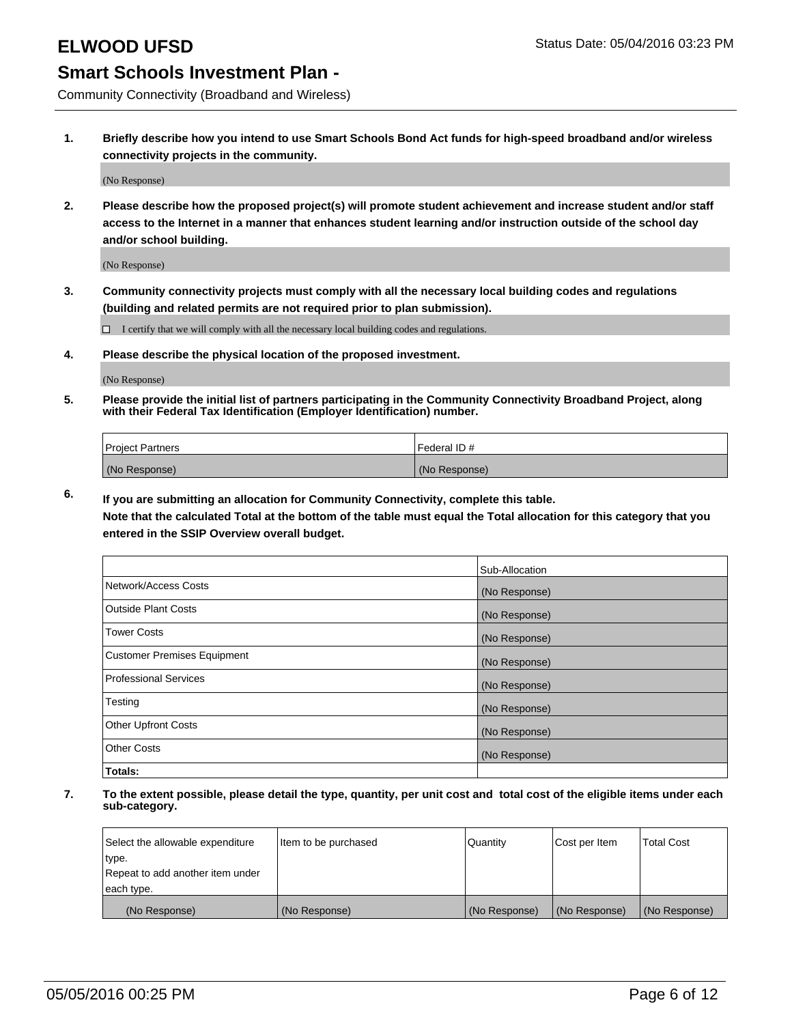Community Connectivity (Broadband and Wireless)

**1. Briefly describe how you intend to use Smart Schools Bond Act funds for high-speed broadband and/or wireless connectivity projects in the community.**

(No Response)

**2. Please describe how the proposed project(s) will promote student achievement and increase student and/or staff access to the Internet in a manner that enhances student learning and/or instruction outside of the school day and/or school building.**

(No Response)

**3. Community connectivity projects must comply with all the necessary local building codes and regulations (building and related permits are not required prior to plan submission).**

 $\Box$  I certify that we will comply with all the necessary local building codes and regulations.

**4. Please describe the physical location of the proposed investment.**

(No Response)

**5. Please provide the initial list of partners participating in the Community Connectivity Broadband Project, along with their Federal Tax Identification (Employer Identification) number.**

| <b>Project Partners</b> | Federal ID#   |
|-------------------------|---------------|
| (No Response)           | (No Response) |

**6. If you are submitting an allocation for Community Connectivity, complete this table.**

**Note that the calculated Total at the bottom of the table must equal the Total allocation for this category that you entered in the SSIP Overview overall budget.**

|                                    | Sub-Allocation |
|------------------------------------|----------------|
| Network/Access Costs               | (No Response)  |
| Outside Plant Costs                | (No Response)  |
| <b>Tower Costs</b>                 | (No Response)  |
| <b>Customer Premises Equipment</b> | (No Response)  |
| Professional Services              | (No Response)  |
| Testing                            | (No Response)  |
| <b>Other Upfront Costs</b>         | (No Response)  |
| <b>Other Costs</b>                 | (No Response)  |
| Totals:                            |                |

| Select the allowable expenditure | litem to be purchased | Quantity      | Cost per Item | <b>Total Cost</b> |
|----------------------------------|-----------------------|---------------|---------------|-------------------|
| type.                            |                       |               |               |                   |
| Repeat to add another item under |                       |               |               |                   |
| each type.                       |                       |               |               |                   |
| (No Response)                    | (No Response)         | (No Response) | (No Response) | (No Response)     |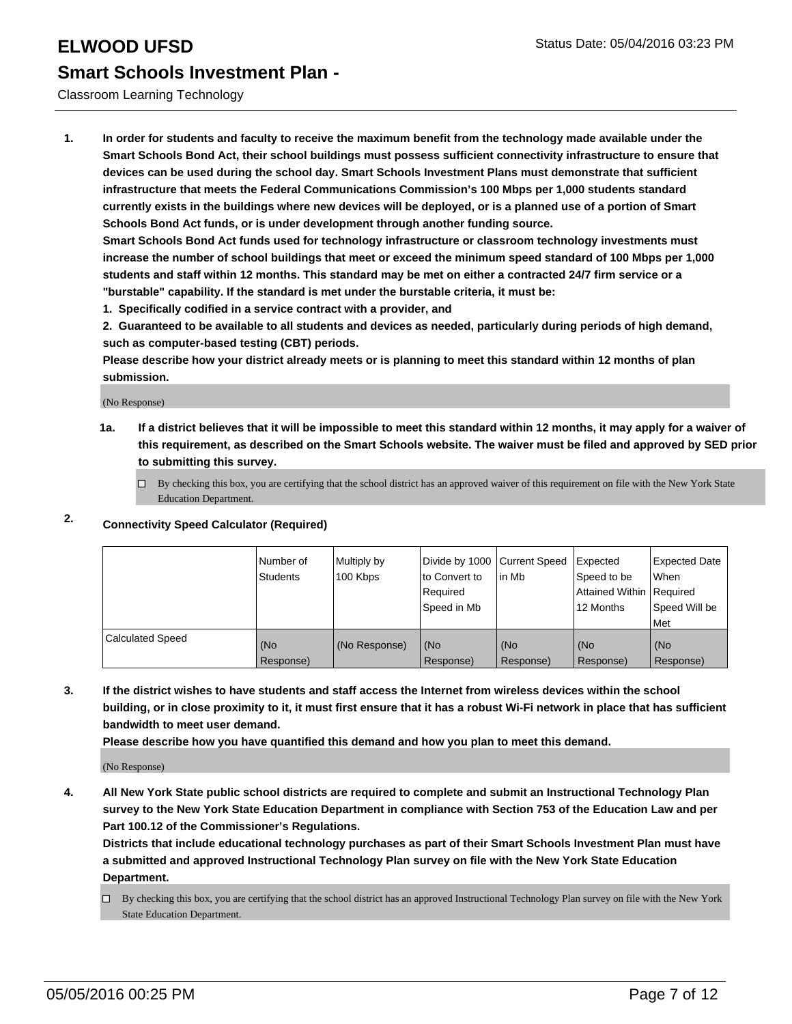### Classroom Learning Technology

**1. In order for students and faculty to receive the maximum benefit from the technology made available under the Smart Schools Bond Act, their school buildings must possess sufficient connectivity infrastructure to ensure that devices can be used during the school day. Smart Schools Investment Plans must demonstrate that sufficient infrastructure that meets the Federal Communications Commission's 100 Mbps per 1,000 students standard currently exists in the buildings where new devices will be deployed, or is a planned use of a portion of Smart Schools Bond Act funds, or is under development through another funding source.**

**Smart Schools Bond Act funds used for technology infrastructure or classroom technology investments must increase the number of school buildings that meet or exceed the minimum speed standard of 100 Mbps per 1,000 students and staff within 12 months. This standard may be met on either a contracted 24/7 firm service or a "burstable" capability. If the standard is met under the burstable criteria, it must be:**

**1. Specifically codified in a service contract with a provider, and**

**2. Guaranteed to be available to all students and devices as needed, particularly during periods of high demand, such as computer-based testing (CBT) periods.**

**Please describe how your district already meets or is planning to meet this standard within 12 months of plan submission.**

(No Response)

**1a. If a district believes that it will be impossible to meet this standard within 12 months, it may apply for a waiver of this requirement, as described on the Smart Schools website. The waiver must be filed and approved by SED prior to submitting this survey.**

 $\Box$  By checking this box, you are certifying that the school district has an approved waiver of this requirement on file with the New York State Education Department.

### **2. Connectivity Speed Calculator (Required)**

|                         | Number of<br>Students | Multiply by<br>100 Kbps | Divide by 1000 Current Speed<br>to Convert to<br>Required<br>Speed in Mb | in Mb            | Expected<br>Speed to be<br>Attained Within   Required<br>12 Months | <b>Expected Date</b><br>l When<br>Speed Will be<br>Met |
|-------------------------|-----------------------|-------------------------|--------------------------------------------------------------------------|------------------|--------------------------------------------------------------------|--------------------------------------------------------|
| <b>Calculated Speed</b> | (No<br>Response)      | (No Response)           | (No<br>Response)                                                         | (No<br>Response) | (No<br>Response)                                                   | (No<br>Response)                                       |

**3. If the district wishes to have students and staff access the Internet from wireless devices within the school building, or in close proximity to it, it must first ensure that it has a robust Wi-Fi network in place that has sufficient bandwidth to meet user demand.**

**Please describe how you have quantified this demand and how you plan to meet this demand.**

(No Response)

**4. All New York State public school districts are required to complete and submit an Instructional Technology Plan survey to the New York State Education Department in compliance with Section 753 of the Education Law and per Part 100.12 of the Commissioner's Regulations.**

**Districts that include educational technology purchases as part of their Smart Schools Investment Plan must have a submitted and approved Instructional Technology Plan survey on file with the New York State Education Department.**

 $\Box$  By checking this box, you are certifying that the school district has an approved Instructional Technology Plan survey on file with the New York State Education Department.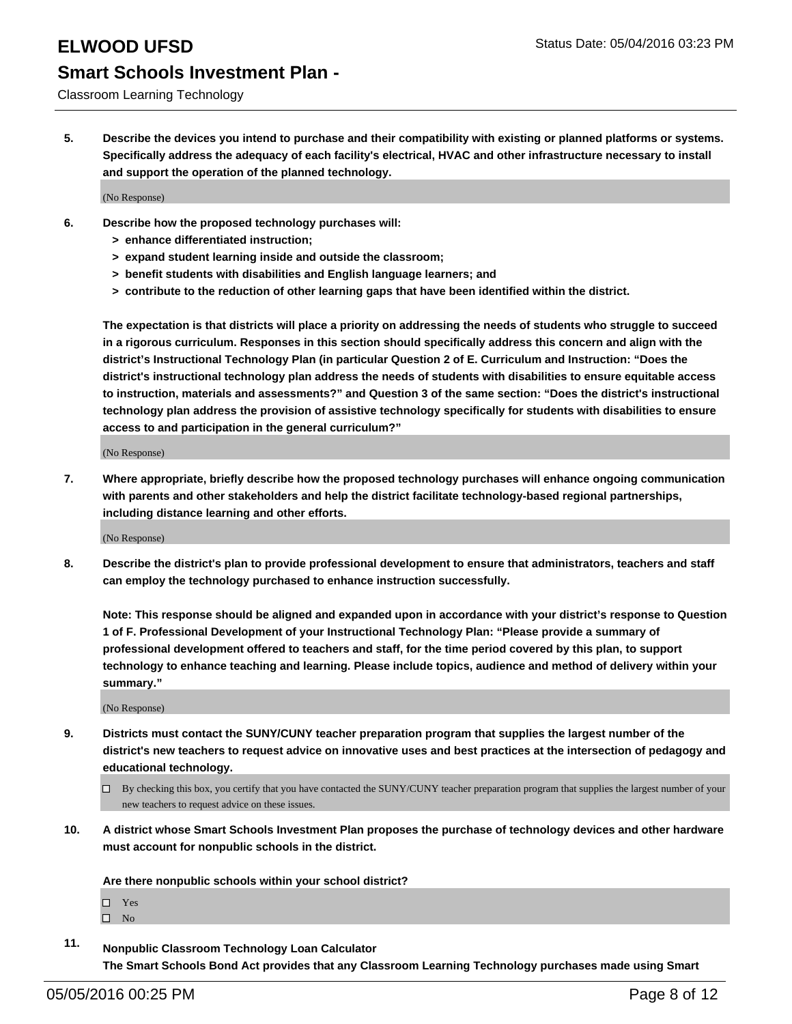#### Classroom Learning Technology

**5. Describe the devices you intend to purchase and their compatibility with existing or planned platforms or systems. Specifically address the adequacy of each facility's electrical, HVAC and other infrastructure necessary to install and support the operation of the planned technology.**

(No Response)

- **6. Describe how the proposed technology purchases will:**
	- **> enhance differentiated instruction;**
	- **> expand student learning inside and outside the classroom;**
	- **> benefit students with disabilities and English language learners; and**
	- **> contribute to the reduction of other learning gaps that have been identified within the district.**

**The expectation is that districts will place a priority on addressing the needs of students who struggle to succeed in a rigorous curriculum. Responses in this section should specifically address this concern and align with the district's Instructional Technology Plan (in particular Question 2 of E. Curriculum and Instruction: "Does the district's instructional technology plan address the needs of students with disabilities to ensure equitable access to instruction, materials and assessments?" and Question 3 of the same section: "Does the district's instructional technology plan address the provision of assistive technology specifically for students with disabilities to ensure access to and participation in the general curriculum?"**

(No Response)

**7. Where appropriate, briefly describe how the proposed technology purchases will enhance ongoing communication with parents and other stakeholders and help the district facilitate technology-based regional partnerships, including distance learning and other efforts.**

(No Response)

**8. Describe the district's plan to provide professional development to ensure that administrators, teachers and staff can employ the technology purchased to enhance instruction successfully.**

**Note: This response should be aligned and expanded upon in accordance with your district's response to Question 1 of F. Professional Development of your Instructional Technology Plan: "Please provide a summary of professional development offered to teachers and staff, for the time period covered by this plan, to support technology to enhance teaching and learning. Please include topics, audience and method of delivery within your summary."**

(No Response)

- **9. Districts must contact the SUNY/CUNY teacher preparation program that supplies the largest number of the district's new teachers to request advice on innovative uses and best practices at the intersection of pedagogy and educational technology.**
	- $\Box$  By checking this box, you certify that you have contacted the SUNY/CUNY teacher preparation program that supplies the largest number of your new teachers to request advice on these issues.
- **10. A district whose Smart Schools Investment Plan proposes the purchase of technology devices and other hardware must account for nonpublic schools in the district.**

**Are there nonpublic schools within your school district?**

□ Yes

 $\square$  No

**11. Nonpublic Classroom Technology Loan Calculator The Smart Schools Bond Act provides that any Classroom Learning Technology purchases made using Smart**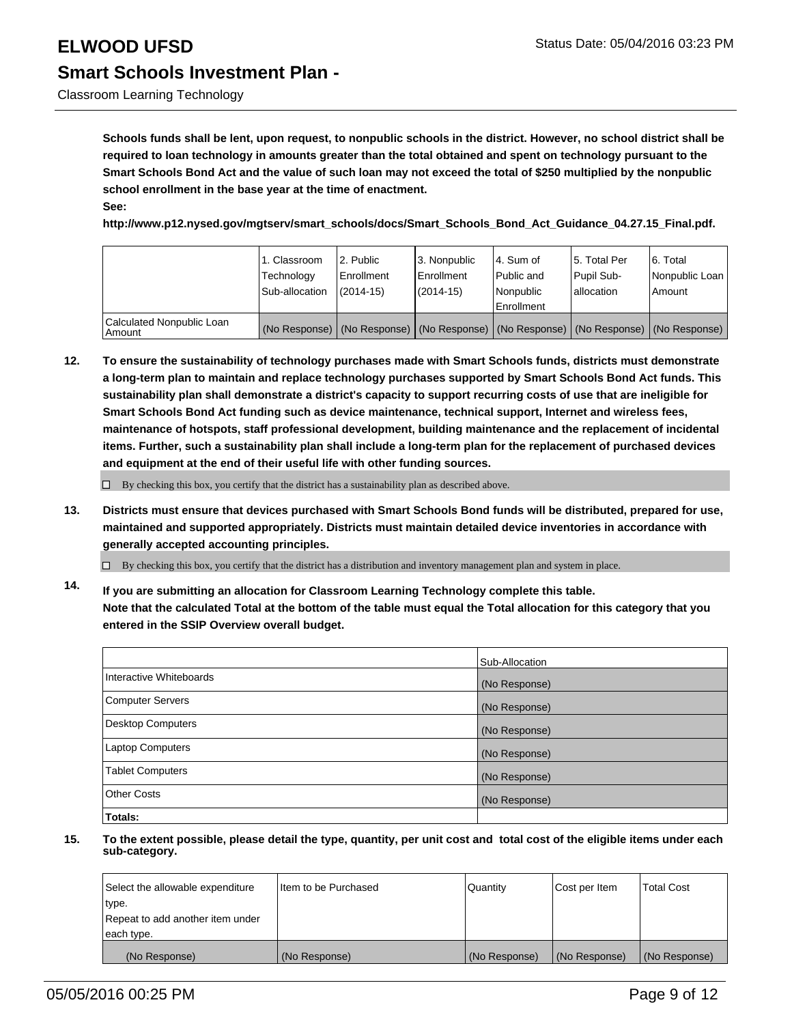Classroom Learning Technology

**Schools funds shall be lent, upon request, to nonpublic schools in the district. However, no school district shall be required to loan technology in amounts greater than the total obtained and spent on technology pursuant to the Smart Schools Bond Act and the value of such loan may not exceed the total of \$250 multiplied by the nonpublic school enrollment in the base year at the time of enactment. See:**

**http://www.p12.nysed.gov/mgtserv/smart\_schools/docs/Smart\_Schools\_Bond\_Act\_Guidance\_04.27.15\_Final.pdf.**

|                                     | 1. Classroom<br>Technology<br>Sub-allocation | l 2. Public<br>Enrollment<br>$(2014 - 15)$ | 3. Nonpublic<br><b>Enrollment</b><br>$(2014 - 15)$                                            | l 4. Sum of<br>l Public and<br>l Nonpublic<br>Enrollment | 5. Total Per<br>Pupil Sub-<br>lallocation | 6. Total<br>Nonpublic Loan  <br>Amount |
|-------------------------------------|----------------------------------------------|--------------------------------------------|-----------------------------------------------------------------------------------------------|----------------------------------------------------------|-------------------------------------------|----------------------------------------|
| Calculated Nonpublic Loan<br>Amount |                                              |                                            | (No Response)   (No Response)   (No Response)   (No Response)   (No Response)   (No Response) |                                                          |                                           |                                        |

**12. To ensure the sustainability of technology purchases made with Smart Schools funds, districts must demonstrate a long-term plan to maintain and replace technology purchases supported by Smart Schools Bond Act funds. This sustainability plan shall demonstrate a district's capacity to support recurring costs of use that are ineligible for Smart Schools Bond Act funding such as device maintenance, technical support, Internet and wireless fees, maintenance of hotspots, staff professional development, building maintenance and the replacement of incidental items. Further, such a sustainability plan shall include a long-term plan for the replacement of purchased devices and equipment at the end of their useful life with other funding sources.**

 $\Box$  By checking this box, you certify that the district has a sustainability plan as described above.

**13. Districts must ensure that devices purchased with Smart Schools Bond funds will be distributed, prepared for use, maintained and supported appropriately. Districts must maintain detailed device inventories in accordance with generally accepted accounting principles.**

 $\Box$  By checking this box, you certify that the district has a distribution and inventory management plan and system in place.

**14. If you are submitting an allocation for Classroom Learning Technology complete this table. Note that the calculated Total at the bottom of the table must equal the Total allocation for this category that you entered in the SSIP Overview overall budget.**

|                          | Sub-Allocation |
|--------------------------|----------------|
| Interactive Whiteboards  | (No Response)  |
| <b>Computer Servers</b>  | (No Response)  |
| <b>Desktop Computers</b> | (No Response)  |
| <b>Laptop Computers</b>  | (No Response)  |
| <b>Tablet Computers</b>  | (No Response)  |
| Other Costs              | (No Response)  |
| Totals:                  |                |

| Select the allowable expenditure | Iltem to be Purchased | Quantity      | Cost per Item | <b>Total Cost</b> |
|----------------------------------|-----------------------|---------------|---------------|-------------------|
| type.                            |                       |               |               |                   |
| Repeat to add another item under |                       |               |               |                   |
| each type.                       |                       |               |               |                   |
| (No Response)                    | (No Response)         | (No Response) | (No Response) | (No Response)     |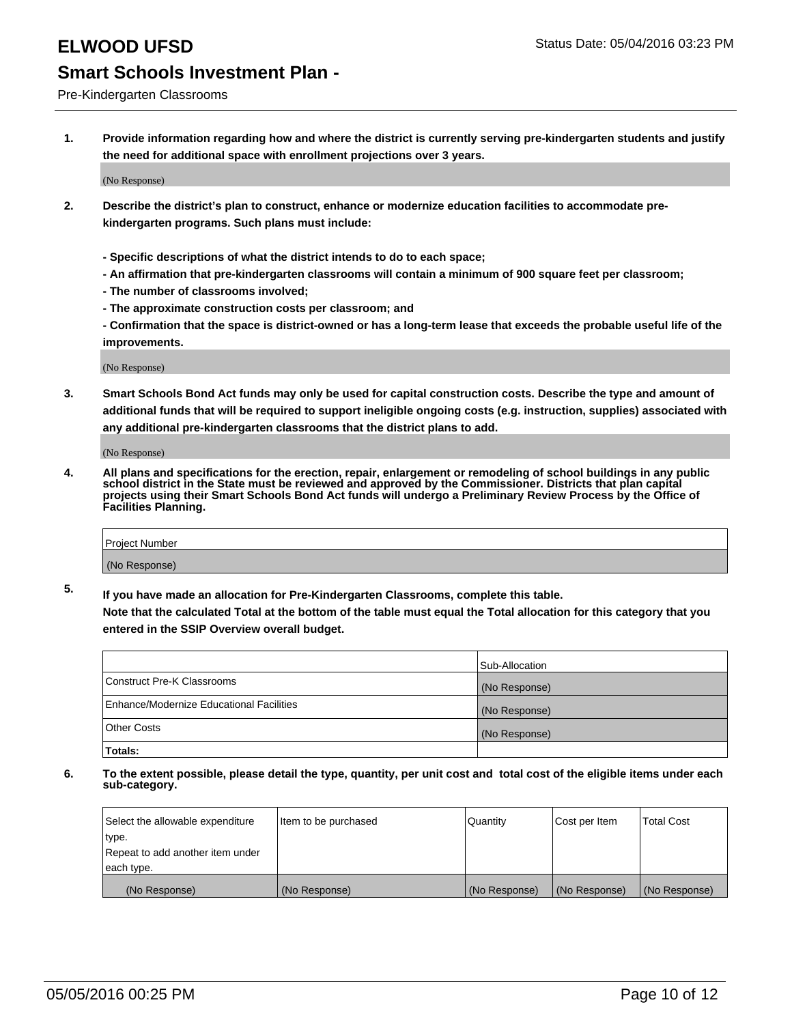Pre-Kindergarten Classrooms

**1. Provide information regarding how and where the district is currently serving pre-kindergarten students and justify the need for additional space with enrollment projections over 3 years.**

(No Response)

- **2. Describe the district's plan to construct, enhance or modernize education facilities to accommodate prekindergarten programs. Such plans must include:**
	- **Specific descriptions of what the district intends to do to each space;**
	- **An affirmation that pre-kindergarten classrooms will contain a minimum of 900 square feet per classroom;**
	- **The number of classrooms involved;**
	- **The approximate construction costs per classroom; and**
	- **Confirmation that the space is district-owned or has a long-term lease that exceeds the probable useful life of the improvements.**

(No Response)

**3. Smart Schools Bond Act funds may only be used for capital construction costs. Describe the type and amount of additional funds that will be required to support ineligible ongoing costs (e.g. instruction, supplies) associated with any additional pre-kindergarten classrooms that the district plans to add.**

(No Response)

**4. All plans and specifications for the erection, repair, enlargement or remodeling of school buildings in any public school district in the State must be reviewed and approved by the Commissioner. Districts that plan capital projects using their Smart Schools Bond Act funds will undergo a Preliminary Review Process by the Office of Facilities Planning.**

| Project Number |  |
|----------------|--|
| (No Response)  |  |

**5. If you have made an allocation for Pre-Kindergarten Classrooms, complete this table. Note that the calculated Total at the bottom of the table must equal the Total allocation for this category that you**

**entered in the SSIP Overview overall budget.**

|                                          | Sub-Allocation |
|------------------------------------------|----------------|
| Construct Pre-K Classrooms               | (No Response)  |
| Enhance/Modernize Educational Facilities | (No Response)  |
| Other Costs                              | (No Response)  |
| Totals:                                  |                |

| Select the allowable expenditure | Item to be purchased | Quantity      | Cost per Item | <b>Total Cost</b> |
|----------------------------------|----------------------|---------------|---------------|-------------------|
| type.                            |                      |               |               |                   |
| Repeat to add another item under |                      |               |               |                   |
| each type.                       |                      |               |               |                   |
| (No Response)                    | (No Response)        | (No Response) | (No Response) | (No Response)     |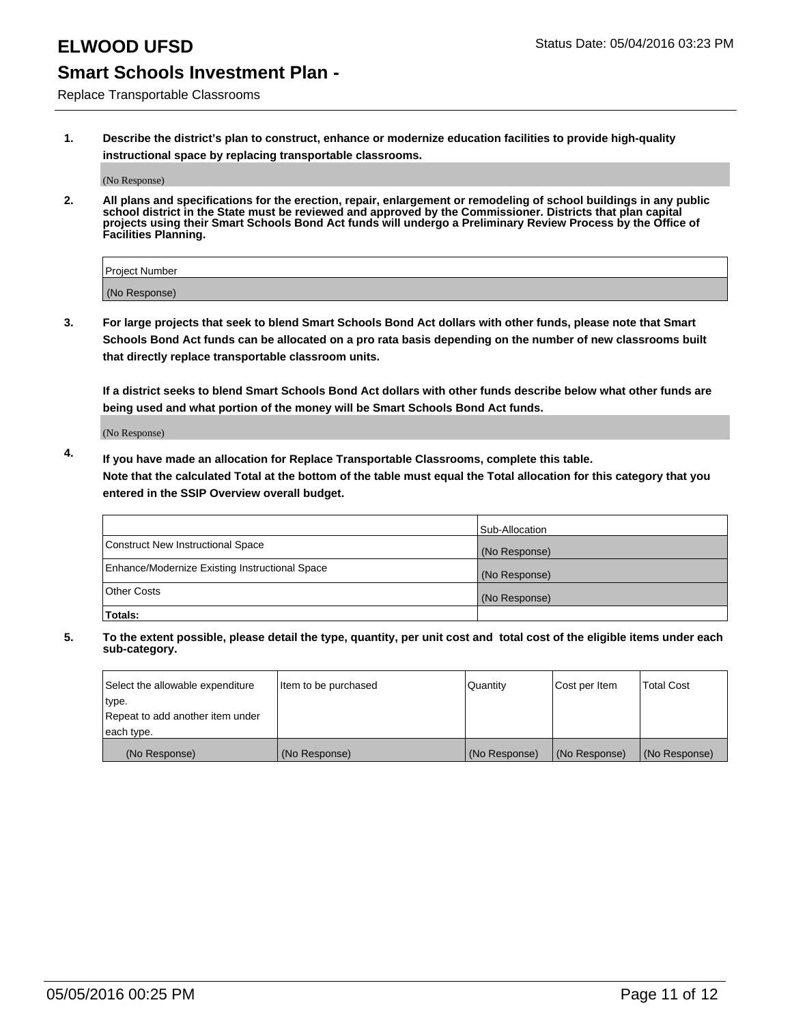Replace Transportable Classrooms

**1. Describe the district's plan to construct, enhance or modernize education facilities to provide high-quality instructional space by replacing transportable classrooms.**

(No Response)

**2. All plans and specifications for the erection, repair, enlargement or remodeling of school buildings in any public school district in the State must be reviewed and approved by the Commissioner. Districts that plan capital projects using their Smart Schools Bond Act funds will undergo a Preliminary Review Process by the Office of Facilities Planning.**

| Project Number |  |
|----------------|--|
| (No Response)  |  |

**3. For large projects that seek to blend Smart Schools Bond Act dollars with other funds, please note that Smart Schools Bond Act funds can be allocated on a pro rata basis depending on the number of new classrooms built that directly replace transportable classroom units.**

**If a district seeks to blend Smart Schools Bond Act dollars with other funds describe below what other funds are being used and what portion of the money will be Smart Schools Bond Act funds.**

(No Response)

**4. If you have made an allocation for Replace Transportable Classrooms, complete this table. Note that the calculated Total at the bottom of the table must equal the Total allocation for this category that you entered in the SSIP Overview overall budget.**

|                                                | Sub-Allocation |
|------------------------------------------------|----------------|
| Construct New Instructional Space              | (No Response)  |
| Enhance/Modernize Existing Instructional Space | (No Response)  |
| <b>Other Costs</b>                             | (No Response)  |
| Totals:                                        |                |

| Select the allowable expenditure | Item to be purchased | Quantity      | Cost per Item | <b>Total Cost</b> |
|----------------------------------|----------------------|---------------|---------------|-------------------|
| type.                            |                      |               |               |                   |
| Repeat to add another item under |                      |               |               |                   |
| each type.                       |                      |               |               |                   |
| (No Response)                    | (No Response)        | (No Response) | (No Response) | (No Response)     |